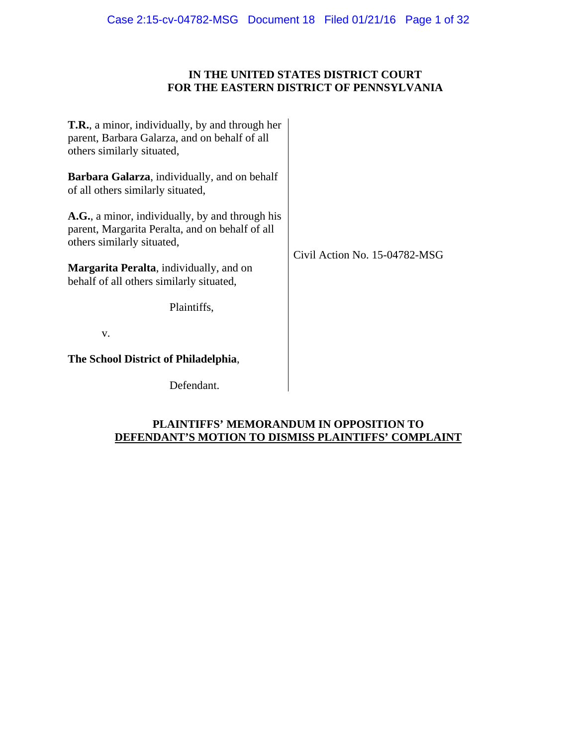## **IN THE UNITED STATES DISTRICT COURT FOR THE EASTERN DISTRICT OF PENNSYLVANIA**

| <b>T.R.</b> , a minor, individually, by and through her<br>parent, Barbara Galarza, and on behalf of all<br>others similarly situated, |                               |
|----------------------------------------------------------------------------------------------------------------------------------------|-------------------------------|
| <b>Barbara Galarza</b> , individually, and on behalf<br>of all others similarly situated,                                              |                               |
| A.G., a minor, individually, by and through his<br>parent, Margarita Peralta, and on behalf of all<br>others similarly situated,       | Civil Action No. 15-04782-MSG |
| <b>Margarita Peralta</b> , individually, and on<br>behalf of all others similarly situated,                                            |                               |
| Plaintiffs,                                                                                                                            |                               |
| V.                                                                                                                                     |                               |
| The School District of Philadelphia,                                                                                                   |                               |
| Defendant.                                                                                                                             |                               |

## **PLAINTIFFS' MEMORANDUM IN OPPOSITION TO DEFENDANT'S MOTION TO DISMISS PLAINTIFFS' COMPLAINT**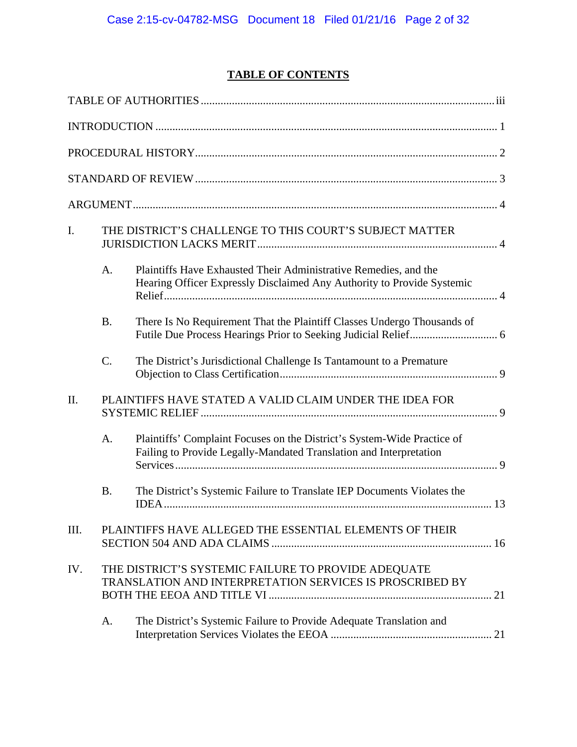# **TABLE OF CONTENTS**

| I.   |                 | THE DISTRICT'S CHALLENGE TO THIS COURT'S SUBJECT MATTER                                                                                       |  |
|------|-----------------|-----------------------------------------------------------------------------------------------------------------------------------------------|--|
|      | A.              | Plaintiffs Have Exhausted Their Administrative Remedies, and the<br>Hearing Officer Expressly Disclaimed Any Authority to Provide Systemic    |  |
|      | <b>B.</b>       | There Is No Requirement That the Plaintiff Classes Undergo Thousands of                                                                       |  |
|      | $\mathcal{C}$ . | The District's Jurisdictional Challenge Is Tantamount to a Premature                                                                          |  |
| II.  |                 | PLAINTIFFS HAVE STATED A VALID CLAIM UNDER THE IDEA FOR                                                                                       |  |
|      | A.              | Plaintiffs' Complaint Focuses on the District's System-Wide Practice of<br>Failing to Provide Legally-Mandated Translation and Interpretation |  |
|      | <b>B.</b>       | The District's Systemic Failure to Translate IEP Documents Violates the                                                                       |  |
| III. |                 | PLAINTIFFS HAVE ALLEGED THE ESSENTIAL ELEMENTS OF THEIR                                                                                       |  |
| IV.  |                 | THE DISTRICT'S SYSTEMIC FAILURE TO PROVIDE ADEQUATE<br>TRANSLATION AND INTERPRETATION SERVICES IS PROSCRIBED BY                               |  |
|      | A.              | The District's Systemic Failure to Provide Adequate Translation and                                                                           |  |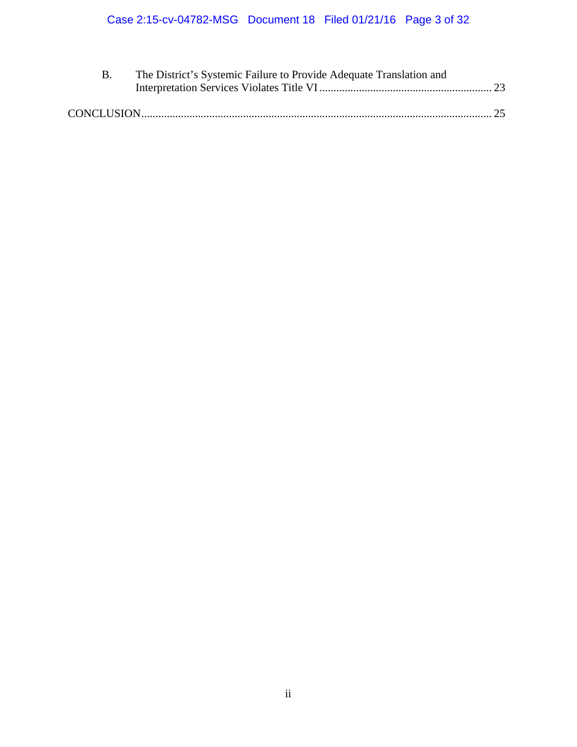| The District's Systemic Failure to Provide Adequate Translation and |  |
|---------------------------------------------------------------------|--|
|                                                                     |  |
|                                                                     |  |
|                                                                     |  |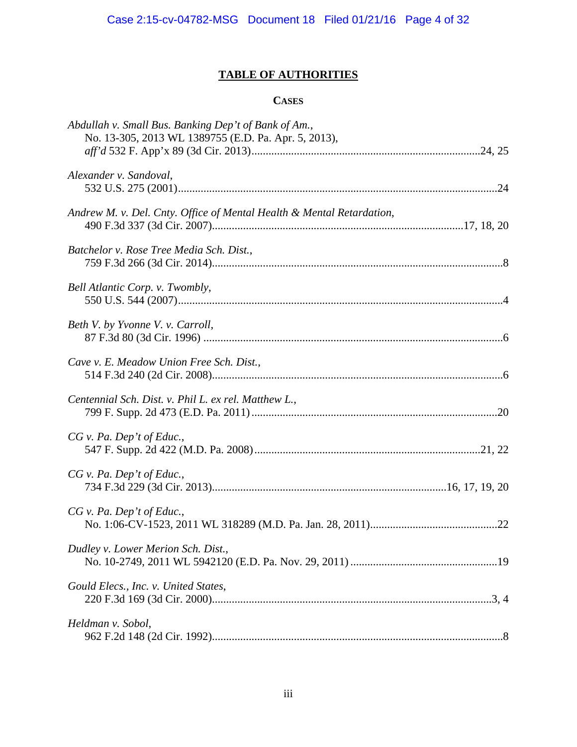# **TABLE OF AUTHORITIES**

## **CASES**

| Abdullah v. Small Bus. Banking Dep't of Bank of Am.,<br>No. 13-305, 2013 WL 1389755 (E.D. Pa. Apr. 5, 2013), |  |
|--------------------------------------------------------------------------------------------------------------|--|
| Alexander v. Sandoval,                                                                                       |  |
|                                                                                                              |  |
| Andrew M. v. Del. Cnty. Office of Mental Health & Mental Retardation,                                        |  |
| Batchelor v. Rose Tree Media Sch. Dist.,                                                                     |  |
| Bell Atlantic Corp. v. Twombly,                                                                              |  |
| Beth V. by Yvonne V. v. Carroll,                                                                             |  |
| Cave v. E. Meadow Union Free Sch. Dist.,                                                                     |  |
| Centennial Sch. Dist. v. Phil L. ex rel. Matthew L.,                                                         |  |
| $CG$ v. Pa. Dep't of Educ.,                                                                                  |  |
| $CG$ v. Pa. Dep't of Educ.,                                                                                  |  |
| $CG$ v. Pa. Dep't of Educ.,                                                                                  |  |
| Dudley v. Lower Merion Sch. Dist.,                                                                           |  |
| Gould Elecs., Inc. v. United States,                                                                         |  |
| Heldman v. Sobol,                                                                                            |  |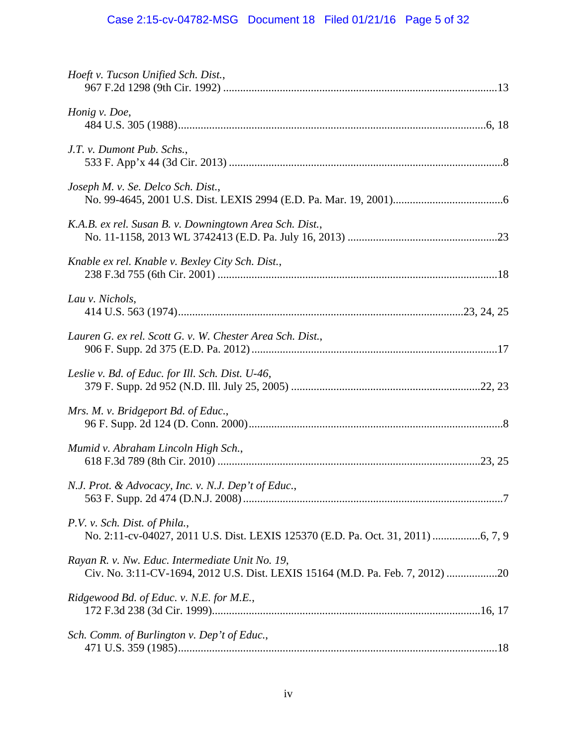# Case 2:15-cv-04782-MSG Document 18 Filed 01/21/16 Page 5 of 32

| Hoeft v. Tucson Unified Sch. Dist.,                                                                                              |
|----------------------------------------------------------------------------------------------------------------------------------|
| Honig v. Doe,                                                                                                                    |
| J.T. v. Dumont Pub. Schs.,                                                                                                       |
| Joseph M. v. Se. Delco Sch. Dist.,                                                                                               |
| K.A.B. ex rel. Susan B. v. Downingtown Area Sch. Dist.,                                                                          |
| Knable ex rel. Knable v. Bexley City Sch. Dist.,                                                                                 |
| Lau v. Nichols,                                                                                                                  |
| Lauren G. ex rel. Scott G. v. W. Chester Area Sch. Dist.,                                                                        |
| Leslie v. Bd. of Educ. for Ill. Sch. Dist. U-46,                                                                                 |
| Mrs. M. v. Bridgeport Bd. of Educ.,                                                                                              |
| Mumid v. Abraham Lincoln High Sch.,                                                                                              |
| N.J. Prot. & Advocacy, Inc. v. N.J. Dep't of Educ.,                                                                              |
| P.V. v. Sch. Dist. of Phila.,                                                                                                    |
| Rayan R. v. Nw. Educ. Intermediate Unit No. 19,<br>Civ. No. 3:11-CV-1694, 2012 U.S. Dist. LEXIS 15164 (M.D. Pa. Feb. 7, 2012) 20 |
| Ridgewood Bd. of Educ. v. N.E. for M.E.,                                                                                         |
| Sch. Comm. of Burlington v. Dep't of Educ.,                                                                                      |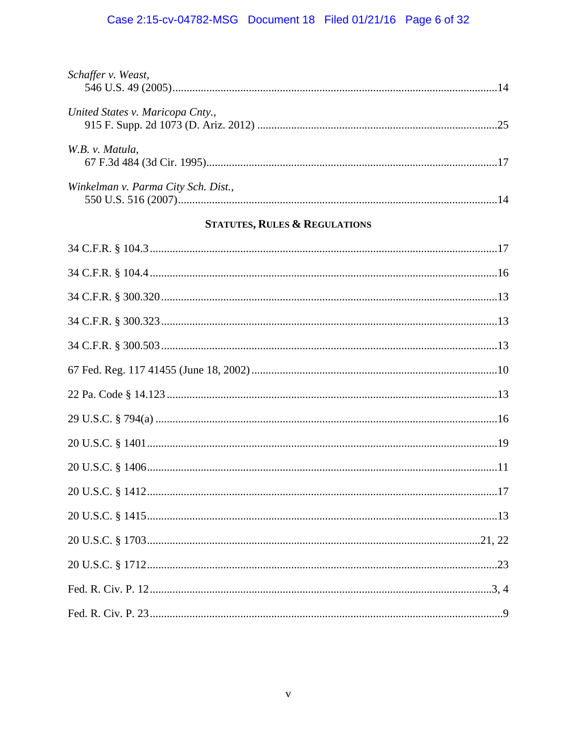# Case 2:15-cv-04782-MSG Document 18 Filed 01/21/16 Page 6 of 32

| Schaffer v. Weast,                  |  |
|-------------------------------------|--|
|                                     |  |
| United States v. Maricopa Cnty.,    |  |
|                                     |  |
| W.B. v. Matula,                     |  |
|                                     |  |
| Winkelman v. Parma City Sch. Dist., |  |
|                                     |  |

## **STATUTES, RULES & REGULATIONS**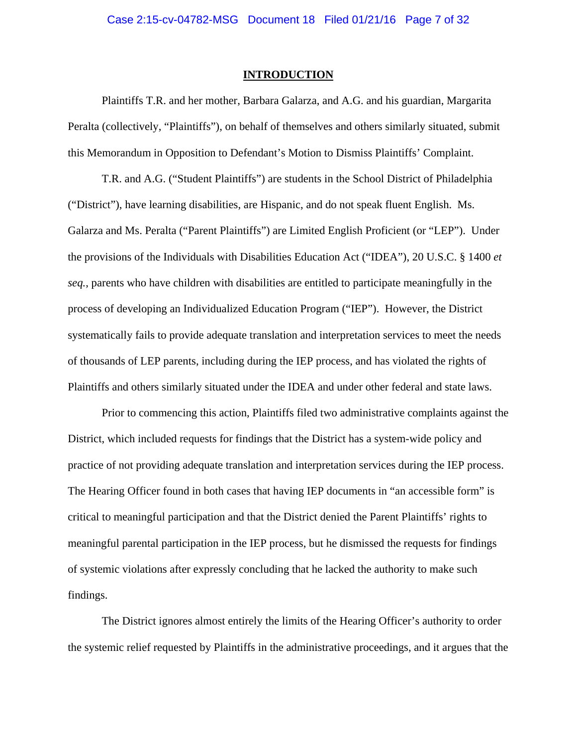#### **INTRODUCTION**

Plaintiffs T.R. and her mother, Barbara Galarza, and A.G. and his guardian, Margarita Peralta (collectively, "Plaintiffs"), on behalf of themselves and others similarly situated, submit this Memorandum in Opposition to Defendant's Motion to Dismiss Plaintiffs' Complaint.

T.R. and A.G. ("Student Plaintiffs") are students in the School District of Philadelphia ("District"), have learning disabilities, are Hispanic, and do not speak fluent English. Ms. Galarza and Ms. Peralta ("Parent Plaintiffs") are Limited English Proficient (or "LEP"). Under the provisions of the Individuals with Disabilities Education Act ("IDEA"), 20 U.S.C. § 1400 *et seq.*, parents who have children with disabilities are entitled to participate meaningfully in the process of developing an Individualized Education Program ("IEP"). However, the District systematically fails to provide adequate translation and interpretation services to meet the needs of thousands of LEP parents, including during the IEP process, and has violated the rights of Plaintiffs and others similarly situated under the IDEA and under other federal and state laws.

Prior to commencing this action, Plaintiffs filed two administrative complaints against the District, which included requests for findings that the District has a system-wide policy and practice of not providing adequate translation and interpretation services during the IEP process. The Hearing Officer found in both cases that having IEP documents in "an accessible form" is critical to meaningful participation and that the District denied the Parent Plaintiffs' rights to meaningful parental participation in the IEP process, but he dismissed the requests for findings of systemic violations after expressly concluding that he lacked the authority to make such findings.

The District ignores almost entirely the limits of the Hearing Officer's authority to order the systemic relief requested by Plaintiffs in the administrative proceedings, and it argues that the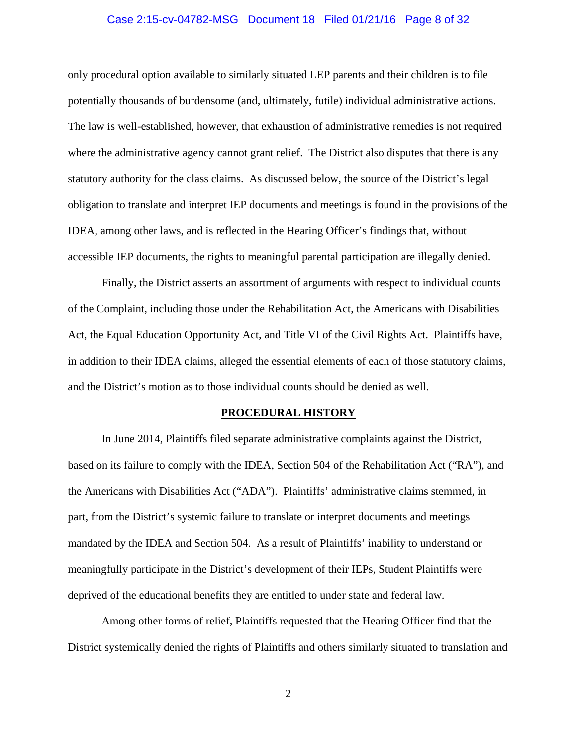#### Case 2:15-cv-04782-MSG Document 18 Filed 01/21/16 Page 8 of 32

only procedural option available to similarly situated LEP parents and their children is to file potentially thousands of burdensome (and, ultimately, futile) individual administrative actions. The law is well-established, however, that exhaustion of administrative remedies is not required where the administrative agency cannot grant relief. The District also disputes that there is any statutory authority for the class claims. As discussed below, the source of the District's legal obligation to translate and interpret IEP documents and meetings is found in the provisions of the IDEA, among other laws, and is reflected in the Hearing Officer's findings that, without accessible IEP documents, the rights to meaningful parental participation are illegally denied.

Finally, the District asserts an assortment of arguments with respect to individual counts of the Complaint, including those under the Rehabilitation Act, the Americans with Disabilities Act, the Equal Education Opportunity Act, and Title VI of the Civil Rights Act. Plaintiffs have, in addition to their IDEA claims, alleged the essential elements of each of those statutory claims, and the District's motion as to those individual counts should be denied as well.

#### **PROCEDURAL HISTORY**

In June 2014, Plaintiffs filed separate administrative complaints against the District, based on its failure to comply with the IDEA, Section 504 of the Rehabilitation Act ("RA"), and the Americans with Disabilities Act ("ADA"). Plaintiffs' administrative claims stemmed, in part, from the District's systemic failure to translate or interpret documents and meetings mandated by the IDEA and Section 504. As a result of Plaintiffs' inability to understand or meaningfully participate in the District's development of their IEPs, Student Plaintiffs were deprived of the educational benefits they are entitled to under state and federal law.

Among other forms of relief, Plaintiffs requested that the Hearing Officer find that the District systemically denied the rights of Plaintiffs and others similarly situated to translation and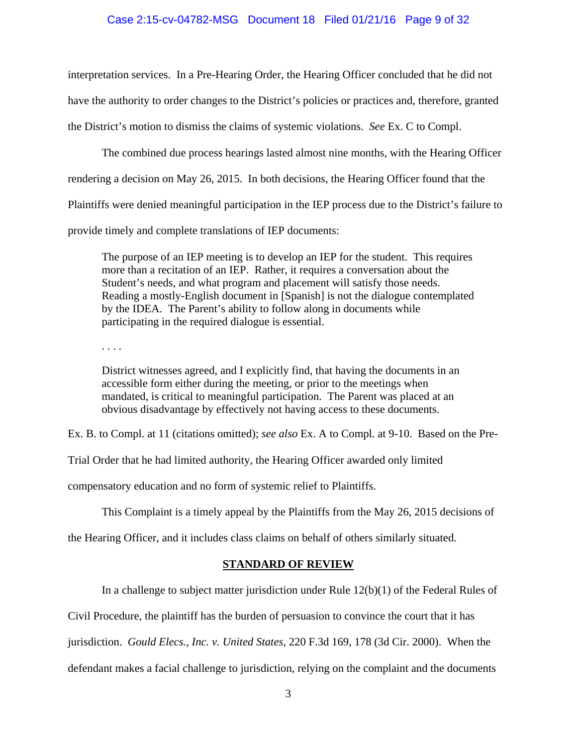#### Case 2:15-cv-04782-MSG Document 18 Filed 01/21/16 Page 9 of 32

interpretation services. In a Pre-Hearing Order, the Hearing Officer concluded that he did not have the authority to order changes to the District's policies or practices and, therefore, granted the District's motion to dismiss the claims of systemic violations. *See* Ex. C to Compl.

The combined due process hearings lasted almost nine months, with the Hearing Officer

rendering a decision on May 26, 2015. In both decisions, the Hearing Officer found that the

Plaintiffs were denied meaningful participation in the IEP process due to the District's failure to

provide timely and complete translations of IEP documents:

The purpose of an IEP meeting is to develop an IEP for the student. This requires more than a recitation of an IEP. Rather, it requires a conversation about the Student's needs, and what program and placement will satisfy those needs. Reading a mostly-English document in [Spanish] is not the dialogue contemplated by the IDEA. The Parent's ability to follow along in documents while participating in the required dialogue is essential.

. . . .

District witnesses agreed, and I explicitly find, that having the documents in an accessible form either during the meeting, or prior to the meetings when mandated, is critical to meaningful participation. The Parent was placed at an obvious disadvantage by effectively not having access to these documents.

Ex. B. to Compl. at 11 (citations omitted); *see also* Ex. A to Compl. at 9-10. Based on the Pre-

Trial Order that he had limited authority, the Hearing Officer awarded only limited

compensatory education and no form of systemic relief to Plaintiffs.

This Complaint is a timely appeal by the Plaintiffs from the May 26, 2015 decisions of

the Hearing Officer, and it includes class claims on behalf of others similarly situated.

#### **STANDARD OF REVIEW**

In a challenge to subject matter jurisdiction under Rule 12(b)(1) of the Federal Rules of

Civil Procedure, the plaintiff has the burden of persuasion to convince the court that it has

jurisdiction. *Gould Elecs., Inc. v. United States*, 220 F.3d 169, 178 (3d Cir. 2000). When the

defendant makes a facial challenge to jurisdiction, relying on the complaint and the documents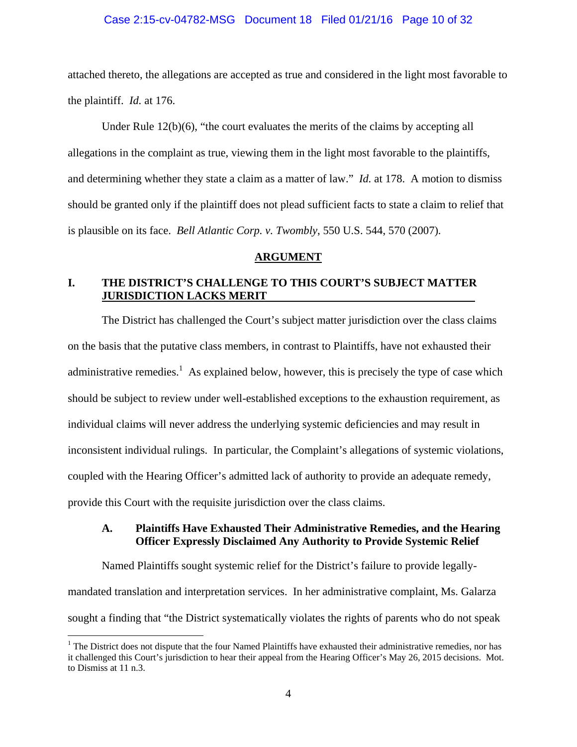#### Case 2:15-cv-04782-MSG Document 18 Filed 01/21/16 Page 10 of 32

attached thereto, the allegations are accepted as true and considered in the light most favorable to the plaintiff. *Id.* at 176.

Under Rule  $12(b)(6)$ , "the court evaluates the merits of the claims by accepting all allegations in the complaint as true, viewing them in the light most favorable to the plaintiffs, and determining whether they state a claim as a matter of law." *Id.* at 178. A motion to dismiss should be granted only if the plaintiff does not plead sufficient facts to state a claim to relief that is plausible on its face. *Bell Atlantic Corp. v. Twombly*, 550 U.S. 544, 570 (2007)*.* 

#### **ARGUMENT**

## **I. THE DISTRICT'S CHALLENGE TO THIS COURT'S SUBJECT MATTER JURISDICTION LACKS MERIT**

The District has challenged the Court's subject matter jurisdiction over the class claims on the basis that the putative class members, in contrast to Plaintiffs, have not exhausted their administrative remedies.<sup>1</sup> As explained below, however, this is precisely the type of case which should be subject to review under well-established exceptions to the exhaustion requirement, as individual claims will never address the underlying systemic deficiencies and may result in inconsistent individual rulings. In particular, the Complaint's allegations of systemic violations, coupled with the Hearing Officer's admitted lack of authority to provide an adequate remedy, provide this Court with the requisite jurisdiction over the class claims.

## **A. Plaintiffs Have Exhausted Their Administrative Remedies, and the Hearing Officer Expressly Disclaimed Any Authority to Provide Systemic Relief**

Named Plaintiffs sought systemic relief for the District's failure to provide legallymandated translation and interpretation services. In her administrative complaint, Ms. Galarza sought a finding that "the District systematically violates the rights of parents who do not speak

 $\overline{a}$ 

<sup>&</sup>lt;sup>1</sup> The District does not dispute that the four Named Plaintiffs have exhausted their administrative remedies, nor has it challenged this Court's jurisdiction to hear their appeal from the Hearing Officer's May 26, 2015 decisions. Mot. to Dismiss at 11 n.3.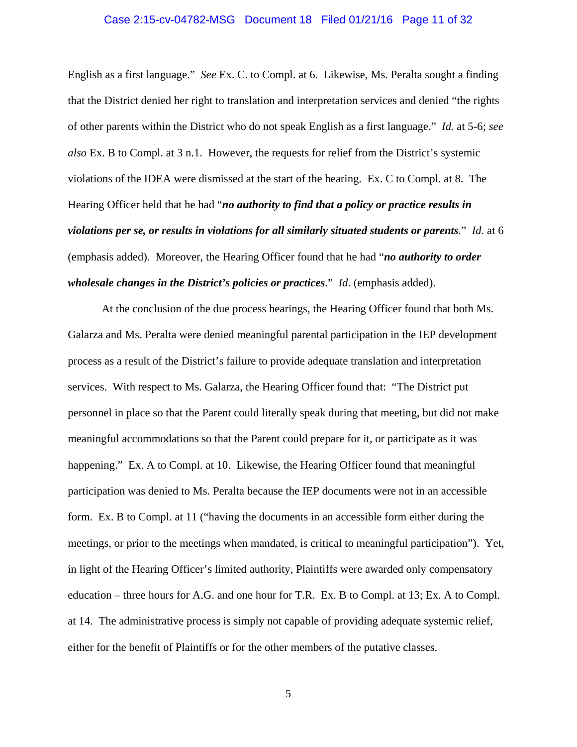#### Case 2:15-cv-04782-MSG Document 18 Filed 01/21/16 Page 11 of 32

English as a first language." *See* Ex. C. to Compl. at 6. Likewise, Ms. Peralta sought a finding that the District denied her right to translation and interpretation services and denied "the rights of other parents within the District who do not speak English as a first language." *Id.* at 5-6; *see also* Ex. B to Compl. at 3 n.1. However, the requests for relief from the District's systemic violations of the IDEA were dismissed at the start of the hearing. Ex. C to Compl. at 8. The Hearing Officer held that he had "*no authority to find that a policy or practice results in violations per se, or results in violations for all similarly situated students or parents.*" *Id.* at 6 (emphasis added). Moreover, the Hearing Officer found that he had "*no authority to order wholesale changes in the District's policies or practices.*" *Id*. (emphasis added).

At the conclusion of the due process hearings, the Hearing Officer found that both Ms. Galarza and Ms. Peralta were denied meaningful parental participation in the IEP development process as a result of the District's failure to provide adequate translation and interpretation services. With respect to Ms. Galarza, the Hearing Officer found that: "The District put personnel in place so that the Parent could literally speak during that meeting, but did not make meaningful accommodations so that the Parent could prepare for it, or participate as it was happening." Ex. A to Compl. at 10. Likewise, the Hearing Officer found that meaningful participation was denied to Ms. Peralta because the IEP documents were not in an accessible form. Ex. B to Compl. at 11 ("having the documents in an accessible form either during the meetings, or prior to the meetings when mandated, is critical to meaningful participation"). Yet, in light of the Hearing Officer's limited authority, Plaintiffs were awarded only compensatory education – three hours for A.G. and one hour for T.R. Ex. B to Compl. at 13; Ex. A to Compl. at 14. The administrative process is simply not capable of providing adequate systemic relief, either for the benefit of Plaintiffs or for the other members of the putative classes.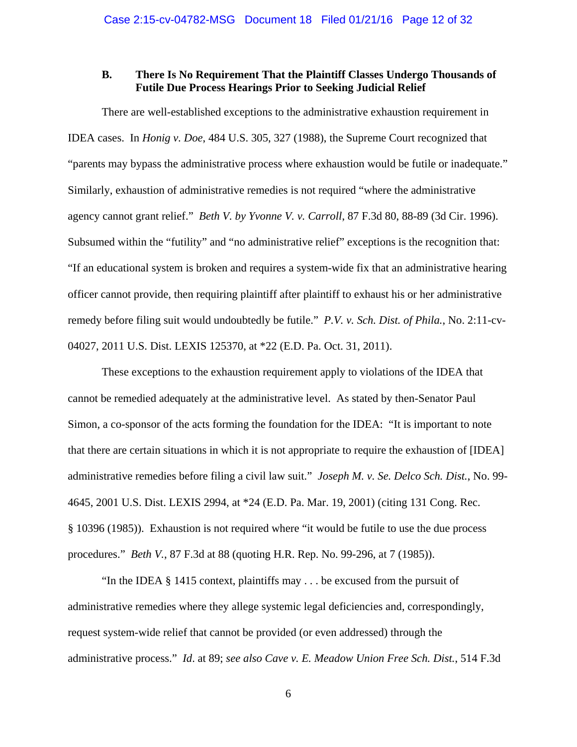### **B. There Is No Requirement That the Plaintiff Classes Undergo Thousands of Futile Due Process Hearings Prior to Seeking Judicial Relief**

There are well-established exceptions to the administrative exhaustion requirement in IDEA cases. In *Honig v. Doe*, 484 U.S. 305, 327 (1988), the Supreme Court recognized that "parents may bypass the administrative process where exhaustion would be futile or inadequate." Similarly, exhaustion of administrative remedies is not required "where the administrative agency cannot grant relief." *Beth V. by Yvonne V. v. Carroll*, 87 F.3d 80, 88-89 (3d Cir. 1996). Subsumed within the "futility" and "no administrative relief" exceptions is the recognition that: "If an educational system is broken and requires a system-wide fix that an administrative hearing officer cannot provide, then requiring plaintiff after plaintiff to exhaust his or her administrative remedy before filing suit would undoubtedly be futile." *P.V. v. Sch. Dist. of Phila.*, No. 2:11-cv-04027, 2011 U.S. Dist. LEXIS 125370, at \*22 (E.D. Pa. Oct. 31, 2011).

These exceptions to the exhaustion requirement apply to violations of the IDEA that cannot be remedied adequately at the administrative level. As stated by then-Senator Paul Simon, a co-sponsor of the acts forming the foundation for the IDEA: "It is important to note that there are certain situations in which it is not appropriate to require the exhaustion of [IDEA] administrative remedies before filing a civil law suit." *Joseph M. v. Se. Delco Sch. Dist.*, No. 99- 4645, 2001 U.S. Dist. LEXIS 2994, at \*24 (E.D. Pa. Mar. 19, 2001) (citing 131 Cong. Rec. § 10396 (1985)). Exhaustion is not required where "it would be futile to use the due process procedures." *Beth V.*, 87 F.3d at 88 (quoting H.R. Rep. No. 99-296, at 7 (1985)).

"In the IDEA  $\S$  1415 context, plaintiffs may . . . be excused from the pursuit of administrative remedies where they allege systemic legal deficiencies and, correspondingly, request system-wide relief that cannot be provided (or even addressed) through the administrative process." *Id*. at 89; *see also Cave v. E. Meadow Union Free Sch. Dist.*, 514 F.3d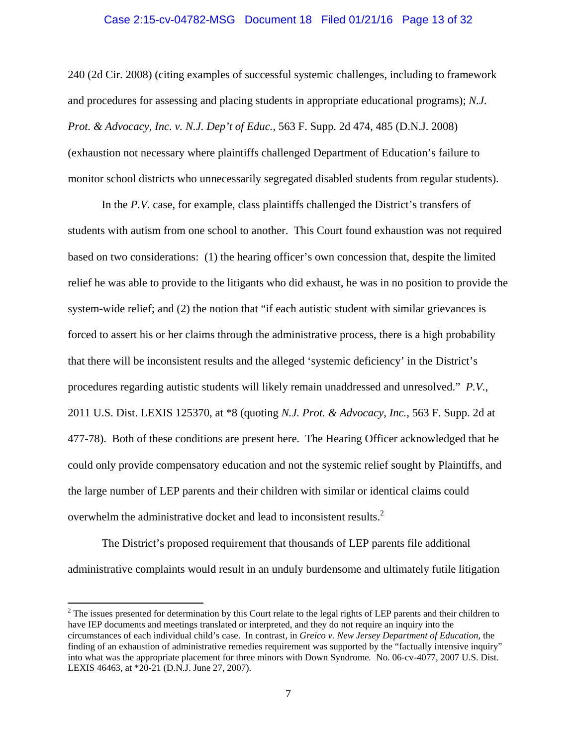#### Case 2:15-cv-04782-MSG Document 18 Filed 01/21/16 Page 13 of 32

240 (2d Cir. 2008) (citing examples of successful systemic challenges, including to framework and procedures for assessing and placing students in appropriate educational programs); *N.J. Prot. & Advocacy, Inc. v. N.J. Dep't of Educ.*, 563 F. Supp. 2d 474, 485 (D.N.J. 2008) (exhaustion not necessary where plaintiffs challenged Department of Education's failure to monitor school districts who unnecessarily segregated disabled students from regular students).

In the *P.V.* case, for example, class plaintiffs challenged the District's transfers of students with autism from one school to another. This Court found exhaustion was not required based on two considerations: (1) the hearing officer's own concession that, despite the limited relief he was able to provide to the litigants who did exhaust, he was in no position to provide the system-wide relief; and (2) the notion that "if each autistic student with similar grievances is forced to assert his or her claims through the administrative process, there is a high probability that there will be inconsistent results and the alleged 'systemic deficiency' in the District's procedures regarding autistic students will likely remain unaddressed and unresolved." *P.V.*, 2011 U.S. Dist. LEXIS 125370, at \*8 (quoting *N.J. Prot. & Advocacy, Inc.*, 563 F. Supp. 2d at 477-78). Both of these conditions are present here. The Hearing Officer acknowledged that he could only provide compensatory education and not the systemic relief sought by Plaintiffs, and the large number of LEP parents and their children with similar or identical claims could overwhelm the administrative docket and lead to inconsistent results.<sup>2</sup>

The District's proposed requirement that thousands of LEP parents file additional administrative complaints would result in an unduly burdensome and ultimately futile litigation

 $\overline{a}$ 

 $2^2$  The issues presented for determination by this Court relate to the legal rights of LEP parents and their children to have IEP documents and meetings translated or interpreted, and they do not require an inquiry into the circumstances of each individual child's case. In contrast, in *Greico v. New Jersey Department of Education*, the finding of an exhaustion of administrative remedies requirement was supported by the "factually intensive inquiry" into what was the appropriate placement for three minors with Down Syndrome*.* No. 06-cv-4077, 2007 U.S. Dist. LEXIS 46463, at \*20-21 (D.N.J. June 27, 2007).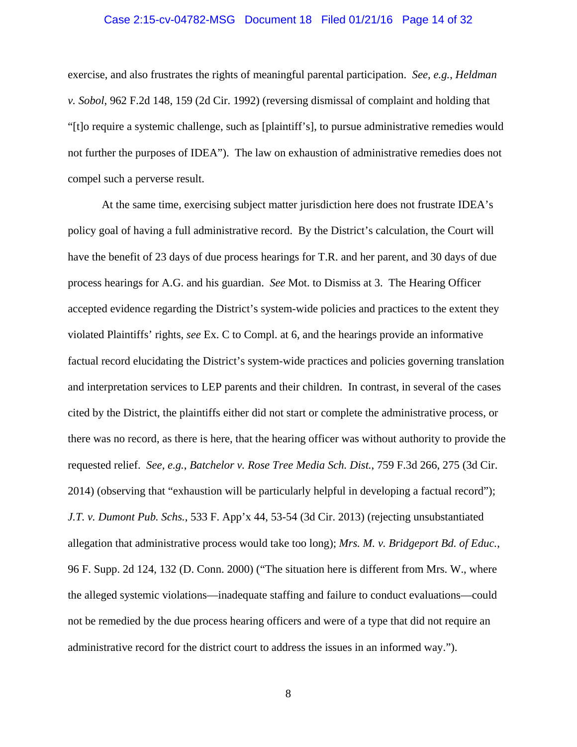#### Case 2:15-cv-04782-MSG Document 18 Filed 01/21/16 Page 14 of 32

exercise, and also frustrates the rights of meaningful parental participation. *See, e.g.*, *Heldman v. Sobol*, 962 F.2d 148, 159 (2d Cir. 1992) (reversing dismissal of complaint and holding that "[t]o require a systemic challenge, such as [plaintiff's], to pursue administrative remedies would not further the purposes of IDEA"). The law on exhaustion of administrative remedies does not compel such a perverse result.

At the same time, exercising subject matter jurisdiction here does not frustrate IDEA's policy goal of having a full administrative record. By the District's calculation, the Court will have the benefit of 23 days of due process hearings for T.R. and her parent, and 30 days of due process hearings for A.G. and his guardian. *See* Mot. to Dismiss at 3. The Hearing Officer accepted evidence regarding the District's system-wide policies and practices to the extent they violated Plaintiffs' rights, *see* Ex. C to Compl. at 6, and the hearings provide an informative factual record elucidating the District's system-wide practices and policies governing translation and interpretation services to LEP parents and their children. In contrast, in several of the cases cited by the District, the plaintiffs either did not start or complete the administrative process, or there was no record, as there is here, that the hearing officer was without authority to provide the requested relief. *See, e.g.*, *Batchelor v. Rose Tree Media Sch. Dist.*, 759 F.3d 266, 275 (3d Cir. 2014) (observing that "exhaustion will be particularly helpful in developing a factual record"); *J.T. v. Dumont Pub. Schs.*, 533 F. App'x 44, 53-54 (3d Cir. 2013) (rejecting unsubstantiated allegation that administrative process would take too long); *Mrs. M. v. Bridgeport Bd. of Educ.*, 96 F. Supp. 2d 124, 132 (D. Conn. 2000) ("The situation here is different from Mrs. W., where the alleged systemic violations—inadequate staffing and failure to conduct evaluations—could not be remedied by the due process hearing officers and were of a type that did not require an administrative record for the district court to address the issues in an informed way.").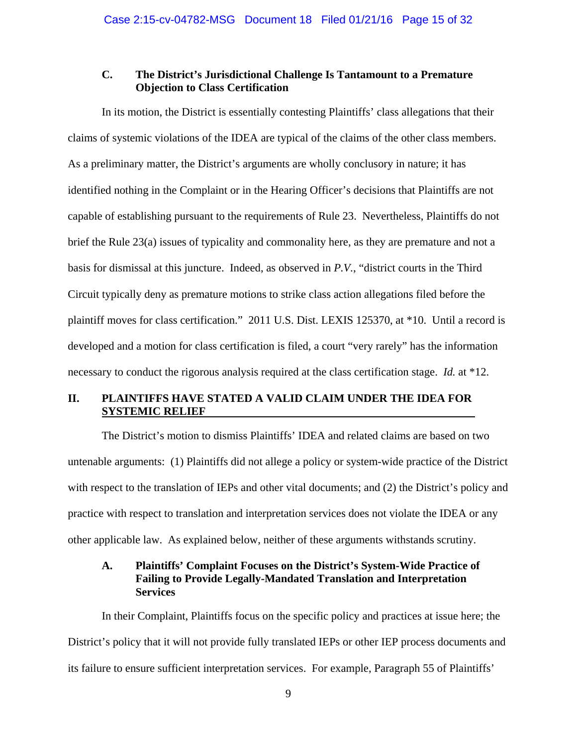## **C. The District's Jurisdictional Challenge Is Tantamount to a Premature Objection to Class Certification**

In its motion, the District is essentially contesting Plaintiffs' class allegations that their claims of systemic violations of the IDEA are typical of the claims of the other class members. As a preliminary matter, the District's arguments are wholly conclusory in nature; it has identified nothing in the Complaint or in the Hearing Officer's decisions that Plaintiffs are not capable of establishing pursuant to the requirements of Rule 23. Nevertheless, Plaintiffs do not brief the Rule 23(a) issues of typicality and commonality here, as they are premature and not a basis for dismissal at this juncture. Indeed, as observed in *P.V.*, "district courts in the Third Circuit typically deny as premature motions to strike class action allegations filed before the plaintiff moves for class certification." 2011 U.S. Dist. LEXIS 125370, at \*10. Until a record is developed and a motion for class certification is filed, a court "very rarely" has the information necessary to conduct the rigorous analysis required at the class certification stage. *Id.* at \*12.

## **II. PLAINTIFFS HAVE STATED A VALID CLAIM UNDER THE IDEA FOR SYSTEMIC RELIEF**

The District's motion to dismiss Plaintiffs' IDEA and related claims are based on two untenable arguments: (1) Plaintiffs did not allege a policy or system-wide practice of the District with respect to the translation of IEPs and other vital documents; and (2) the District's policy and practice with respect to translation and interpretation services does not violate the IDEA or any other applicable law. As explained below, neither of these arguments withstands scrutiny.

## **A. Plaintiffs' Complaint Focuses on the District's System-Wide Practice of Failing to Provide Legally-Mandated Translation and Interpretation Services**

In their Complaint, Plaintiffs focus on the specific policy and practices at issue here; the District's policy that it will not provide fully translated IEPs or other IEP process documents and its failure to ensure sufficient interpretation services. For example, Paragraph 55 of Plaintiffs'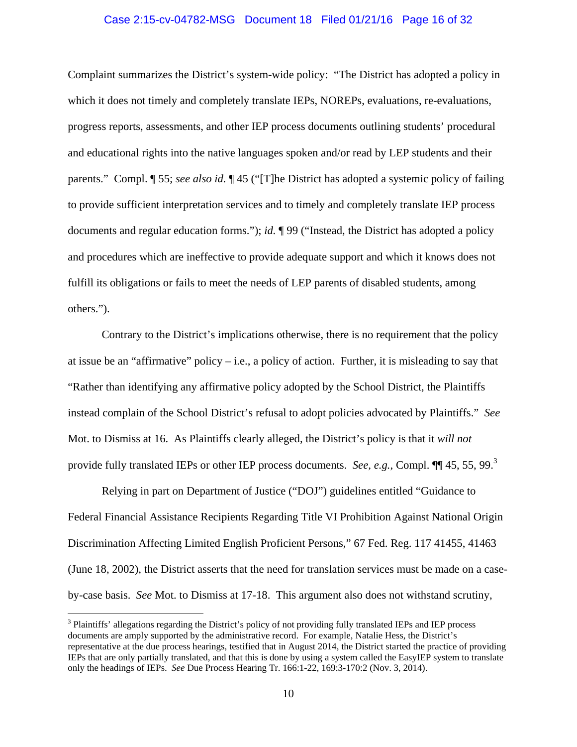#### Case 2:15-cv-04782-MSG Document 18 Filed 01/21/16 Page 16 of 32

Complaint summarizes the District's system-wide policy: "The District has adopted a policy in which it does not timely and completely translate IEPs, NOREPs, evaluations, re-evaluations, progress reports, assessments, and other IEP process documents outlining students' procedural and educational rights into the native languages spoken and/or read by LEP students and their parents." Compl. ¶ 55; *see also id.* ¶ 45 ("[T]he District has adopted a systemic policy of failing to provide sufficient interpretation services and to timely and completely translate IEP process documents and regular education forms."); *id.* ¶ 99 ("Instead, the District has adopted a policy and procedures which are ineffective to provide adequate support and which it knows does not fulfill its obligations or fails to meet the needs of LEP parents of disabled students, among others.").

Contrary to the District's implications otherwise, there is no requirement that the policy at issue be an "affirmative" policy – i.e., a policy of action. Further, it is misleading to say that "Rather than identifying any affirmative policy adopted by the School District, the Plaintiffs instead complain of the School District's refusal to adopt policies advocated by Plaintiffs." *See* Mot. to Dismiss at 16. As Plaintiffs clearly alleged, the District's policy is that it *will not* provide fully translated IEPs or other IEP process documents. *See, e.g.*, Compl. ¶¶ 45, 55, 99.<sup>3</sup>

Relying in part on Department of Justice ("DOJ") guidelines entitled "Guidance to Federal Financial Assistance Recipients Regarding Title VI Prohibition Against National Origin Discrimination Affecting Limited English Proficient Persons," 67 Fed. Reg. 117 41455, 41463 (June 18, 2002), the District asserts that the need for translation services must be made on a caseby-case basis. *See* Mot. to Dismiss at 17-18. This argument also does not withstand scrutiny,

<sup>&</sup>lt;sup>3</sup> Plaintiffs' allegations regarding the District's policy of not providing fully translated IEPs and IEP process documents are amply supported by the administrative record. For example, Natalie Hess, the District's representative at the due process hearings, testified that in August 2014, the District started the practice of providing IEPs that are only partially translated, and that this is done by using a system called the EasyIEP system to translate only the headings of IEPs. *See* Due Process Hearing Tr. 166:1-22, 169:3-170:2 (Nov. 3, 2014).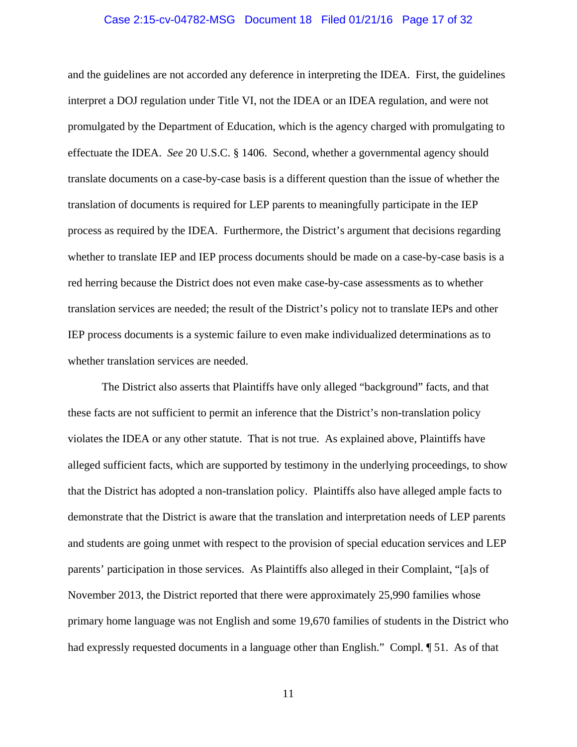#### Case 2:15-cv-04782-MSG Document 18 Filed 01/21/16 Page 17 of 32

and the guidelines are not accorded any deference in interpreting the IDEA. First, the guidelines interpret a DOJ regulation under Title VI, not the IDEA or an IDEA regulation, and were not promulgated by the Department of Education, which is the agency charged with promulgating to effectuate the IDEA. *See* 20 U.S.C. § 1406. Second, whether a governmental agency should translate documents on a case-by-case basis is a different question than the issue of whether the translation of documents is required for LEP parents to meaningfully participate in the IEP process as required by the IDEA. Furthermore, the District's argument that decisions regarding whether to translate IEP and IEP process documents should be made on a case-by-case basis is a red herring because the District does not even make case-by-case assessments as to whether translation services are needed; the result of the District's policy not to translate IEPs and other IEP process documents is a systemic failure to even make individualized determinations as to whether translation services are needed.

The District also asserts that Plaintiffs have only alleged "background" facts, and that these facts are not sufficient to permit an inference that the District's non-translation policy violates the IDEA or any other statute. That is not true. As explained above, Plaintiffs have alleged sufficient facts, which are supported by testimony in the underlying proceedings, to show that the District has adopted a non-translation policy. Plaintiffs also have alleged ample facts to demonstrate that the District is aware that the translation and interpretation needs of LEP parents and students are going unmet with respect to the provision of special education services and LEP parents' participation in those services. As Plaintiffs also alleged in their Complaint, "[a]s of November 2013, the District reported that there were approximately 25,990 families whose primary home language was not English and some 19,670 families of students in the District who had expressly requested documents in a language other than English." Compl. ¶ 51. As of that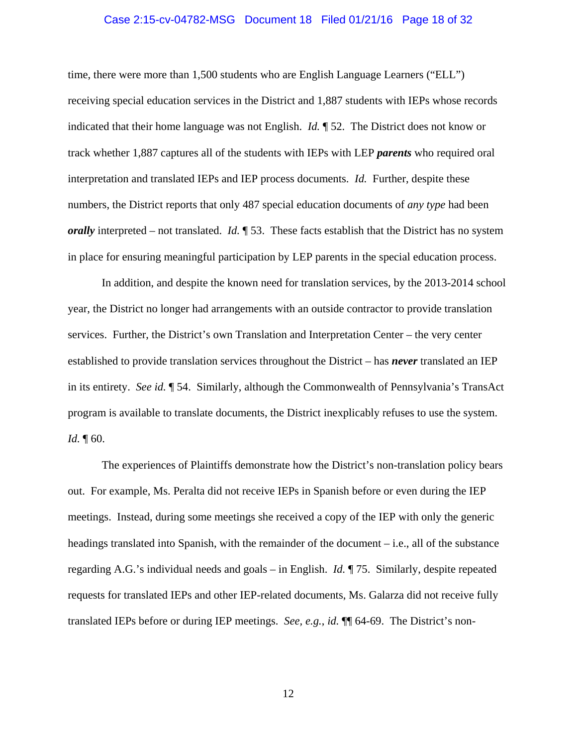#### Case 2:15-cv-04782-MSG Document 18 Filed 01/21/16 Page 18 of 32

time, there were more than 1,500 students who are English Language Learners ("ELL") receiving special education services in the District and 1,887 students with IEPs whose records indicated that their home language was not English. *Id.* ¶ 52. The District does not know or track whether 1,887 captures all of the students with IEPs with LEP *parents* who required oral interpretation and translated IEPs and IEP process documents. *Id.* Further, despite these numbers, the District reports that only 487 special education documents of *any type* had been *orally* interpreted – not translated. *Id.* **[53.** These facts establish that the District has no system in place for ensuring meaningful participation by LEP parents in the special education process.

In addition, and despite the known need for translation services, by the 2013-2014 school year, the District no longer had arrangements with an outside contractor to provide translation services. Further, the District's own Translation and Interpretation Center – the very center established to provide translation services throughout the District – has *never* translated an IEP in its entirety. *See id.* ¶ 54. Similarly, although the Commonwealth of Pennsylvania's TransAct program is available to translate documents, the District inexplicably refuses to use the system. *Id.*  $\llbracket 60.$ 

The experiences of Plaintiffs demonstrate how the District's non-translation policy bears out. For example, Ms. Peralta did not receive IEPs in Spanish before or even during the IEP meetings. Instead, during some meetings she received a copy of the IEP with only the generic headings translated into Spanish, with the remainder of the document – i.e., all of the substance regarding A.G.'s individual needs and goals – in English. *Id.* ¶ 75. Similarly, despite repeated requests for translated IEPs and other IEP-related documents, Ms. Galarza did not receive fully translated IEPs before or during IEP meetings. *See, e.g.*, *id.* ¶¶ 64-69. The District's non-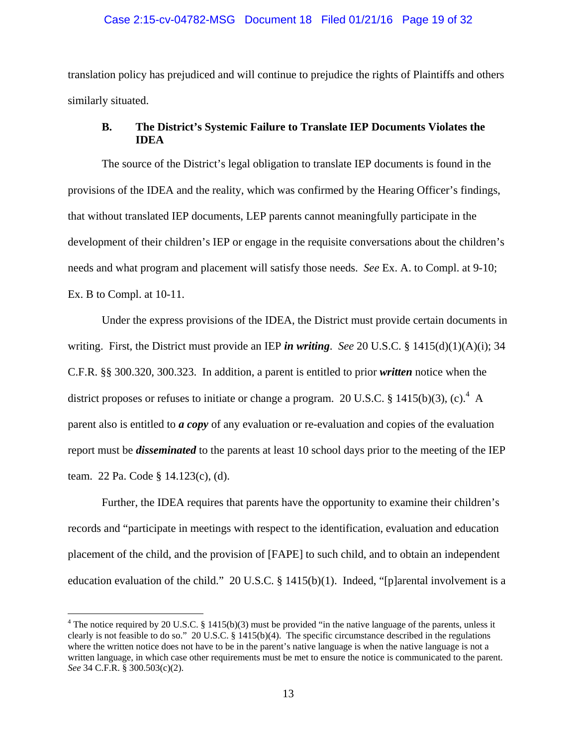#### Case 2:15-cv-04782-MSG Document 18 Filed 01/21/16 Page 19 of 32

translation policy has prejudiced and will continue to prejudice the rights of Plaintiffs and others similarly situated.

## **B. The District's Systemic Failure to Translate IEP Documents Violates the IDEA**

The source of the District's legal obligation to translate IEP documents is found in the provisions of the IDEA and the reality, which was confirmed by the Hearing Officer's findings, that without translated IEP documents, LEP parents cannot meaningfully participate in the development of their children's IEP or engage in the requisite conversations about the children's needs and what program and placement will satisfy those needs. *See* Ex. A. to Compl. at 9-10; Ex. B to Compl. at 10-11.

Under the express provisions of the IDEA, the District must provide certain documents in writing. First, the District must provide an IEP *in writing*. *See* 20 U.S.C. § 1415(d)(1)(A)(i); 34 C.F.R. §§ 300.320, 300.323. In addition, a parent is entitled to prior *written* notice when the district proposes or refuses to initiate or change a program. 20 U.S.C. § 1415(b)(3), (c).<sup>4</sup> A parent also is entitled to *a copy* of any evaluation or re-evaluation and copies of the evaluation report must be *disseminated* to the parents at least 10 school days prior to the meeting of the IEP team. 22 Pa. Code § 14.123(c), (d).

Further, the IDEA requires that parents have the opportunity to examine their children's records and "participate in meetings with respect to the identification, evaluation and education placement of the child, and the provision of [FAPE] to such child, and to obtain an independent education evaluation of the child." 20 U.S.C. § 1415(b)(1). Indeed, "[p]arental involvement is a

 $\overline{a}$ 

<sup>&</sup>lt;sup>4</sup> The notice required by 20 U.S.C. § 1415(b)(3) must be provided "in the native language of the parents, unless it clearly is not feasible to do so." 20 U.S.C.  $\S$  1415(b)(4). The specific circumstance described in the regulations where the written notice does not have to be in the parent's native language is when the native language is not a written language, in which case other requirements must be met to ensure the notice is communicated to the parent. *See* 34 C.F.R. § 300.503(c)(2).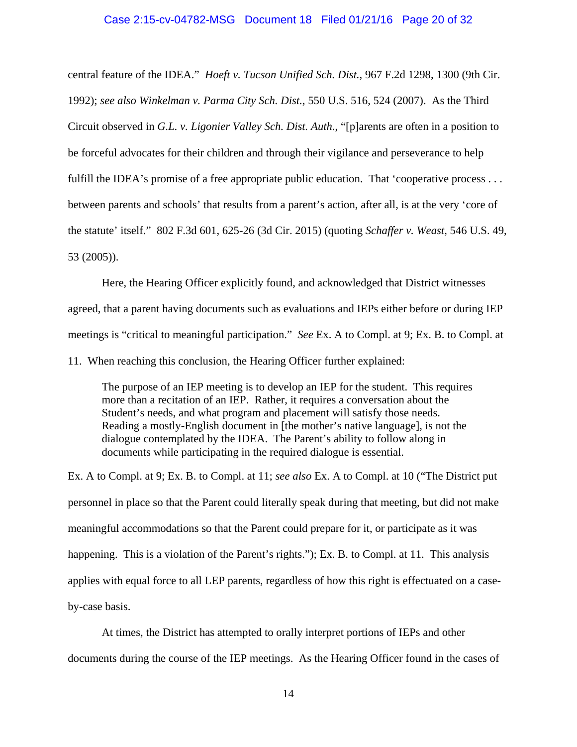#### Case 2:15-cv-04782-MSG Document 18 Filed 01/21/16 Page 20 of 32

central feature of the IDEA." *Hoeft v. Tucson Unified Sch. Dist.*, 967 F.2d 1298, 1300 (9th Cir. 1992); *see also Winkelman v. Parma City Sch. Dist.*, 550 U.S. 516, 524 (2007). As the Third Circuit observed in *G.L. v. Ligonier Valley Sch. Dist. Auth.*, "[p]arents are often in a position to be forceful advocates for their children and through their vigilance and perseverance to help fulfill the IDEA's promise of a free appropriate public education. That 'cooperative process ... between parents and schools' that results from a parent's action, after all, is at the very 'core of the statute' itself." 802 F.3d 601, 625-26 (3d Cir. 2015) (quoting *Schaffer v. Weast*, 546 U.S. 49, 53 (2005)).

Here, the Hearing Officer explicitly found, and acknowledged that District witnesses agreed, that a parent having documents such as evaluations and IEPs either before or during IEP meetings is "critical to meaningful participation." *See* Ex. A to Compl. at 9; Ex. B. to Compl. at

11. When reaching this conclusion, the Hearing Officer further explained:

The purpose of an IEP meeting is to develop an IEP for the student. This requires more than a recitation of an IEP. Rather, it requires a conversation about the Student's needs, and what program and placement will satisfy those needs. Reading a mostly-English document in [the mother's native language], is not the dialogue contemplated by the IDEA. The Parent's ability to follow along in documents while participating in the required dialogue is essential.

Ex. A to Compl. at 9; Ex. B. to Compl. at 11; *see also* Ex. A to Compl. at 10 ("The District put personnel in place so that the Parent could literally speak during that meeting, but did not make meaningful accommodations so that the Parent could prepare for it, or participate as it was happening. This is a violation of the Parent's rights."); Ex. B. to Compl. at 11.This analysis applies with equal force to all LEP parents, regardless of how this right is effectuated on a caseby-case basis.

At times, the District has attempted to orally interpret portions of IEPs and other documents during the course of the IEP meetings. As the Hearing Officer found in the cases of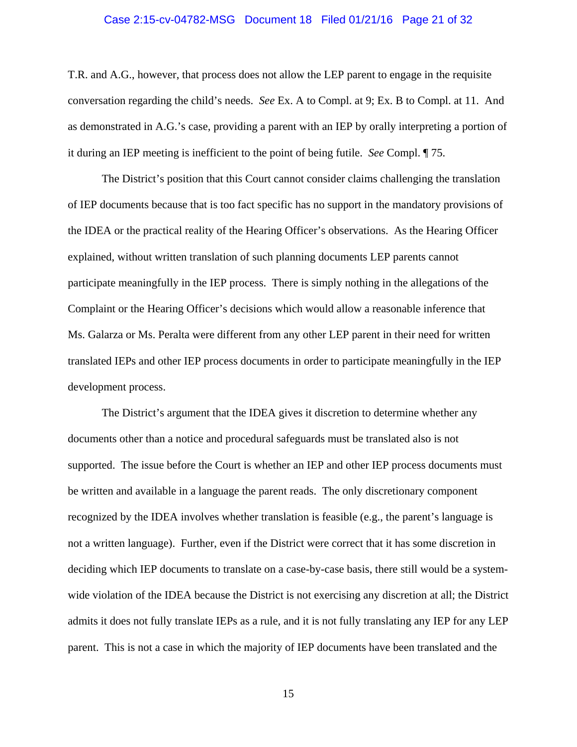#### Case 2:15-cv-04782-MSG Document 18 Filed 01/21/16 Page 21 of 32

T.R. and A.G., however, that process does not allow the LEP parent to engage in the requisite conversation regarding the child's needs. *See* Ex. A to Compl. at 9; Ex. B to Compl. at 11. And as demonstrated in A.G.'s case, providing a parent with an IEP by orally interpreting a portion of it during an IEP meeting is inefficient to the point of being futile. *See* Compl. ¶ 75.

The District's position that this Court cannot consider claims challenging the translation of IEP documents because that is too fact specific has no support in the mandatory provisions of the IDEA or the practical reality of the Hearing Officer's observations. As the Hearing Officer explained, without written translation of such planning documents LEP parents cannot participate meaningfully in the IEP process. There is simply nothing in the allegations of the Complaint or the Hearing Officer's decisions which would allow a reasonable inference that Ms. Galarza or Ms. Peralta were different from any other LEP parent in their need for written translated IEPs and other IEP process documents in order to participate meaningfully in the IEP development process.

The District's argument that the IDEA gives it discretion to determine whether any documents other than a notice and procedural safeguards must be translated also is not supported. The issue before the Court is whether an IEP and other IEP process documents must be written and available in a language the parent reads. The only discretionary component recognized by the IDEA involves whether translation is feasible (e.g., the parent's language is not a written language). Further, even if the District were correct that it has some discretion in deciding which IEP documents to translate on a case-by-case basis, there still would be a systemwide violation of the IDEA because the District is not exercising any discretion at all; the District admits it does not fully translate IEPs as a rule, and it is not fully translating any IEP for any LEP parent. This is not a case in which the majority of IEP documents have been translated and the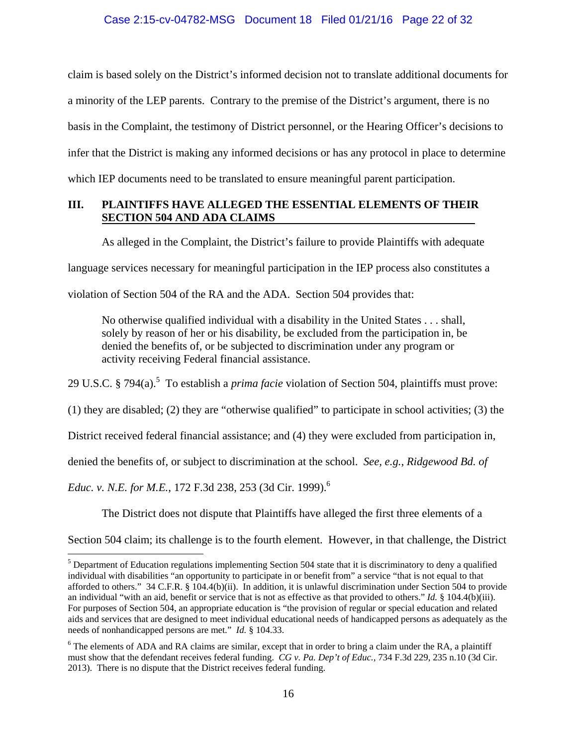## Case 2:15-cv-04782-MSG Document 18 Filed 01/21/16 Page 22 of 32

claim is based solely on the District's informed decision not to translate additional documents for a minority of the LEP parents. Contrary to the premise of the District's argument, there is no basis in the Complaint, the testimony of District personnel, or the Hearing Officer's decisions to infer that the District is making any informed decisions or has any protocol in place to determine which IEP documents need to be translated to ensure meaningful parent participation.

## **III. PLAINTIFFS HAVE ALLEGED THE ESSENTIAL ELEMENTS OF THEIR SECTION 504 AND ADA CLAIMS**

As alleged in the Complaint, the District's failure to provide Plaintiffs with adequate

language services necessary for meaningful participation in the IEP process also constitutes a

violation of Section 504 of the RA and the ADA. Section 504 provides that:

No otherwise qualified individual with a disability in the United States . . . shall, solely by reason of her or his disability, be excluded from the participation in, be denied the benefits of, or be subjected to discrimination under any program or activity receiving Federal financial assistance.

29 U.S.C. § 794(a).<sup>5</sup> To establish a *prima facie* violation of Section 504, plaintiffs must prove:

(1) they are disabled; (2) they are "otherwise qualified" to participate in school activities; (3) the

District received federal financial assistance; and (4) they were excluded from participation in,

denied the benefits of, or subject to discrimination at the school. *See, e.g.*, *Ridgewood Bd. of* 

*Educ. v. N.E. for M.E.*, 172 F.3d 238, 253 (3d Cir. 1999).6

 $\overline{a}$ 

The District does not dispute that Plaintiffs have alleged the first three elements of a

Section 504 claim; its challenge is to the fourth element. However, in that challenge, the District

 $<sup>5</sup>$  Department of Education regulations implementing Section 504 state that it is discriminatory to deny a qualified</sup> individual with disabilities "an opportunity to participate in or benefit from" a service "that is not equal to that afforded to others." 34 C.F.R. § 104.4(b)(ii). In addition, it is unlawful discrimination under Section 504 to provide an individual "with an aid, benefit or service that is not as effective as that provided to others." *Id.* § 104.4(b)(iii). For purposes of Section 504, an appropriate education is "the provision of regular or special education and related aids and services that are designed to meet individual educational needs of handicapped persons as adequately as the needs of nonhandicapped persons are met." *Id.* § 104.33.

 $6$  The elements of ADA and RA claims are similar, except that in order to bring a claim under the RA, a plaintiff must show that the defendant receives federal funding. *CG v. Pa. Dep't of Educ.*, 734 F.3d 229, 235 n.10 (3d Cir. 2013). There is no dispute that the District receives federal funding.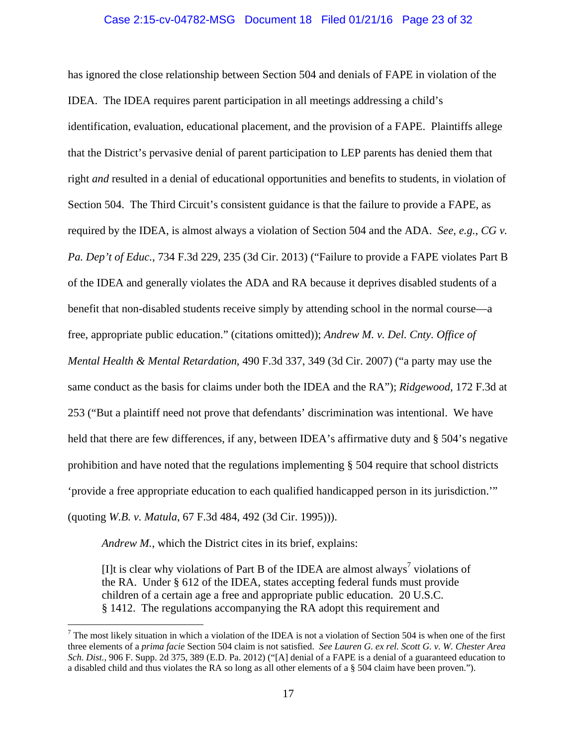#### Case 2:15-cv-04782-MSG Document 18 Filed 01/21/16 Page 23 of 32

has ignored the close relationship between Section 504 and denials of FAPE in violation of the IDEA. The IDEA requires parent participation in all meetings addressing a child's identification, evaluation, educational placement, and the provision of a FAPE. Plaintiffs allege that the District's pervasive denial of parent participation to LEP parents has denied them that right *and* resulted in a denial of educational opportunities and benefits to students, in violation of Section 504. The Third Circuit's consistent guidance is that the failure to provide a FAPE, as required by the IDEA, is almost always a violation of Section 504 and the ADA. *See, e.g.*, *CG v. Pa. Dep't of Educ.*, 734 F.3d 229, 235 (3d Cir. 2013) ("Failure to provide a FAPE violates Part B of the IDEA and generally violates the ADA and RA because it deprives disabled students of a benefit that non-disabled students receive simply by attending school in the normal course—a free, appropriate public education." (citations omitted)); *Andrew M. v. Del. Cnty. Office of Mental Health & Mental Retardation*, 490 F.3d 337, 349 (3d Cir. 2007) ("a party may use the same conduct as the basis for claims under both the IDEA and the RA"); *Ridgewood*, 172 F.3d at 253 ("But a plaintiff need not prove that defendants' discrimination was intentional. We have held that there are few differences, if any, between IDEA's affirmative duty and § 504's negative prohibition and have noted that the regulations implementing § 504 require that school districts 'provide a free appropriate education to each qualified handicapped person in its jurisdiction.'" (quoting *W.B. v. Matula*, 67 F.3d 484, 492 (3d Cir. 1995))).

*Andrew M.*, which the District cites in its brief, explains:

 $\overline{a}$ 

[I]t is clear why violations of Part B of the IDEA are almost always<sup>7</sup> violations of the RA. Under § 612 of the IDEA, states accepting federal funds must provide children of a certain age a free and appropriate public education. 20 U.S.C. § 1412. The regulations accompanying the RA adopt this requirement and

<sup>&</sup>lt;sup>7</sup> The most likely situation in which a violation of the IDEA is not a violation of Section 504 is when one of the first three elements of a *prima facie* Section 504 claim is not satisfied. *See Lauren G. ex rel. Scott G. v. W. Chester Area Sch. Dist.*, 906 F. Supp. 2d 375, 389 (E.D. Pa. 2012) ("[A] denial of a FAPE is a denial of a guaranteed education to a disabled child and thus violates the RA so long as all other elements of a § 504 claim have been proven.").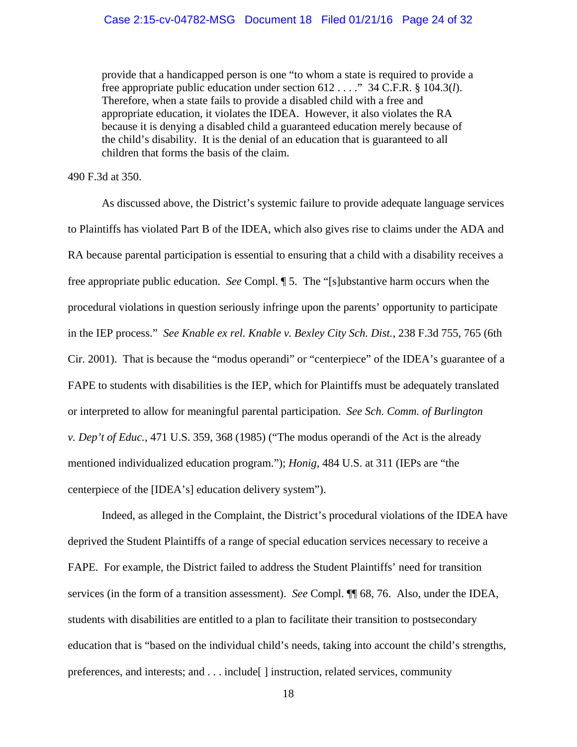provide that a handicapped person is one "to whom a state is required to provide a free appropriate public education under section 612 . . . ." 34 C.F.R. § 104.3(*l*). Therefore, when a state fails to provide a disabled child with a free and appropriate education, it violates the IDEA. However, it also violates the RA because it is denying a disabled child a guaranteed education merely because of the child's disability. It is the denial of an education that is guaranteed to all children that forms the basis of the claim.

#### 490 F.3d at 350.

As discussed above, the District's systemic failure to provide adequate language services to Plaintiffs has violated Part B of the IDEA, which also gives rise to claims under the ADA and RA because parental participation is essential to ensuring that a child with a disability receives a free appropriate public education. *See* Compl. ¶ 5. The "[s]ubstantive harm occurs when the procedural violations in question seriously infringe upon the parents' opportunity to participate in the IEP process." *See Knable ex rel. Knable v. Bexley City Sch. Dist.*, 238 F.3d 755, 765 (6th Cir. 2001). That is because the "modus operandi" or "centerpiece" of the IDEA's guarantee of a FAPE to students with disabilities is the IEP, which for Plaintiffs must be adequately translated or interpreted to allow for meaningful parental participation. *See Sch. Comm. of Burlington v. Dep't of Educ.*, 471 U.S. 359, 368 (1985) ("The modus operandi of the Act is the already mentioned individualized education program."); *Honig*, 484 U.S. at 311 (IEPs are "the centerpiece of the [IDEA's] education delivery system").

Indeed, as alleged in the Complaint, the District's procedural violations of the IDEA have deprived the Student Plaintiffs of a range of special education services necessary to receive a FAPE. For example, the District failed to address the Student Plaintiffs' need for transition services (in the form of a transition assessment). *See* Compl. ¶¶ 68, 76. Also, under the IDEA, students with disabilities are entitled to a plan to facilitate their transition to postsecondary education that is "based on the individual child's needs, taking into account the child's strengths, preferences, and interests; and . . . include[ ] instruction, related services, community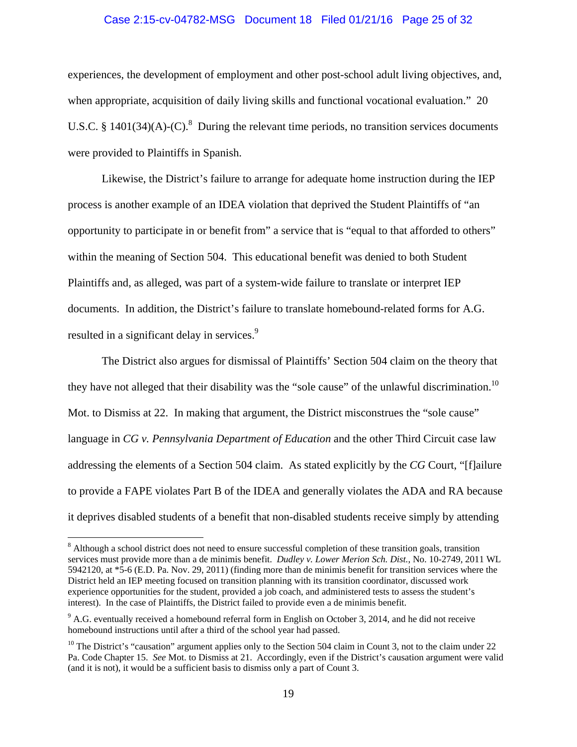#### Case 2:15-cv-04782-MSG Document 18 Filed 01/21/16 Page 25 of 32

experiences, the development of employment and other post-school adult living objectives, and, when appropriate, acquisition of daily living skills and functional vocational evaluation." 20 U.S.C. § 1401(34)(A)-(C).<sup>8</sup> During the relevant time periods, no transition services documents were provided to Plaintiffs in Spanish.

Likewise, the District's failure to arrange for adequate home instruction during the IEP process is another example of an IDEA violation that deprived the Student Plaintiffs of "an opportunity to participate in or benefit from" a service that is "equal to that afforded to others" within the meaning of Section 504. This educational benefit was denied to both Student Plaintiffs and, as alleged, was part of a system-wide failure to translate or interpret IEP documents. In addition, the District's failure to translate homebound-related forms for A.G. resulted in a significant delay in services.<sup>9</sup>

The District also argues for dismissal of Plaintiffs' Section 504 claim on the theory that they have not alleged that their disability was the "sole cause" of the unlawful discrimination.<sup>10</sup> Mot. to Dismiss at 22. In making that argument, the District misconstrues the "sole cause" language in *CG v. Pennsylvania Department of Education* and the other Third Circuit case law addressing the elements of a Section 504 claim. As stated explicitly by the *CG* Court, "[f]ailure to provide a FAPE violates Part B of the IDEA and generally violates the ADA and RA because it deprives disabled students of a benefit that non-disabled students receive simply by attending

<sup>&</sup>lt;sup>8</sup> Although a school district does not need to ensure successful completion of these transition goals, transition services must provide more than a de minimis benefit. *Dudley v. Lower Merion Sch. Dist.*, No. 10-2749, 2011 WL 5942120, at \*5-6 (E.D. Pa. Nov. 29, 2011) (finding more than de minimis benefit for transition services where the District held an IEP meeting focused on transition planning with its transition coordinator, discussed work experience opportunities for the student, provided a job coach, and administered tests to assess the student's interest). In the case of Plaintiffs, the District failed to provide even a de minimis benefit.

 $9$  A.G. eventually received a homebound referral form in English on October 3, 2014, and he did not receive homebound instructions until after a third of the school year had passed.

<sup>&</sup>lt;sup>10</sup> The District's "causation" argument applies only to the Section 504 claim in Count 3, not to the claim under 22 Pa. Code Chapter 15. *See* Mot. to Dismiss at 21. Accordingly, even if the District's causation argument were valid (and it is not), it would be a sufficient basis to dismiss only a part of Count 3.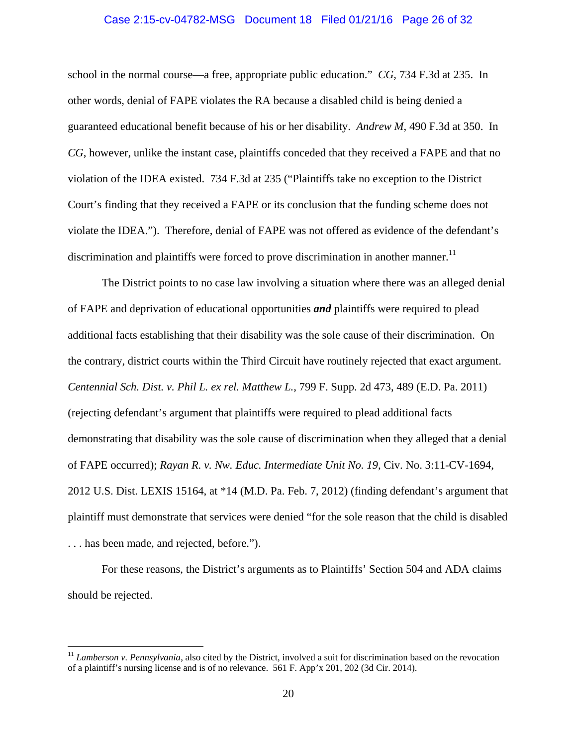#### Case 2:15-cv-04782-MSG Document 18 Filed 01/21/16 Page 26 of 32

school in the normal course—a free, appropriate public education." *CG*, 734 F.3d at 235. In other words, denial of FAPE violates the RA because a disabled child is being denied a guaranteed educational benefit because of his or her disability. *Andrew M*, 490 F.3d at 350. In *CG*, however, unlike the instant case, plaintiffs conceded that they received a FAPE and that no violation of the IDEA existed. 734 F.3d at 235 ("Plaintiffs take no exception to the District Court's finding that they received a FAPE or its conclusion that the funding scheme does not violate the IDEA."). Therefore, denial of FAPE was not offered as evidence of the defendant's discrimination and plaintiffs were forced to prove discrimination in another manner.<sup>11</sup>

The District points to no case law involving a situation where there was an alleged denial of FAPE and deprivation of educational opportunities *and* plaintiffs were required to plead additional facts establishing that their disability was the sole cause of their discrimination. On the contrary, district courts within the Third Circuit have routinely rejected that exact argument. *Centennial Sch. Dist. v. Phil L. ex rel. Matthew L.*, 799 F. Supp. 2d 473, 489 (E.D. Pa. 2011) (rejecting defendant's argument that plaintiffs were required to plead additional facts demonstrating that disability was the sole cause of discrimination when they alleged that a denial of FAPE occurred); *Rayan R. v. Nw. Educ. Intermediate Unit No. 19*, Civ. No. 3:11-CV-1694, 2012 U.S. Dist. LEXIS 15164, at \*14 (M.D. Pa. Feb. 7, 2012) (finding defendant's argument that plaintiff must demonstrate that services were denied "for the sole reason that the child is disabled . . . has been made, and rejected, before.").

For these reasons, the District's arguments as to Plaintiffs' Section 504 and ADA claims should be rejected.

 $\overline{a}$ 

<sup>&</sup>lt;sup>11</sup> *Lamberson v. Pennsylvania*, also cited by the District, involved a suit for discrimination based on the revocation of a plaintiff's nursing license and is of no relevance. 561 F. App'x 201, 202 (3d Cir. 2014).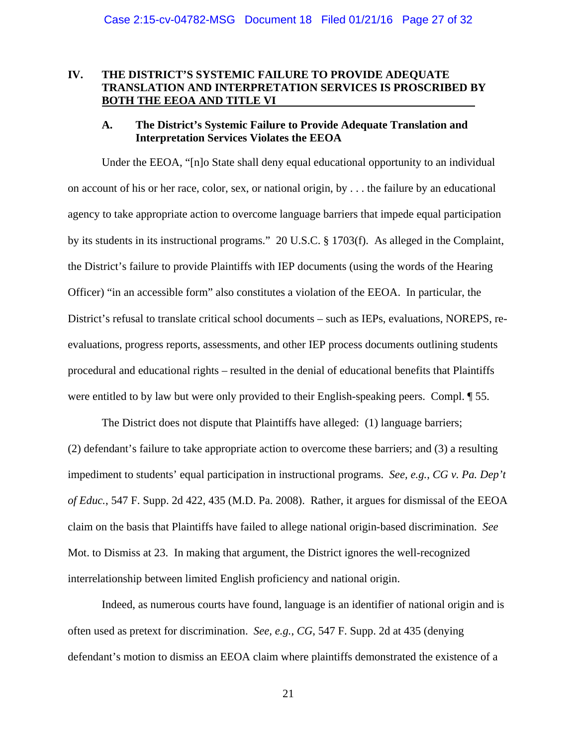## **IV. THE DISTRICT'S SYSTEMIC FAILURE TO PROVIDE ADEQUATE TRANSLATION AND INTERPRETATION SERVICES IS PROSCRIBED BY BOTH THE EEOA AND TITLE VI**

#### **A. The District's Systemic Failure to Provide Adequate Translation and Interpretation Services Violates the EEOA**

Under the EEOA, "[n]o State shall deny equal educational opportunity to an individual on account of his or her race, color, sex, or national origin, by . . . the failure by an educational agency to take appropriate action to overcome language barriers that impede equal participation by its students in its instructional programs." 20 U.S.C. § 1703(f). As alleged in the Complaint, the District's failure to provide Plaintiffs with IEP documents (using the words of the Hearing Officer) "in an accessible form" also constitutes a violation of the EEOA. In particular, the District's refusal to translate critical school documents – such as IEPs, evaluations, NOREPS, reevaluations, progress reports, assessments, and other IEP process documents outlining students procedural and educational rights – resulted in the denial of educational benefits that Plaintiffs were entitled to by law but were only provided to their English-speaking peers. Compl. ¶ 55.

The District does not dispute that Plaintiffs have alleged: (1) language barriers; (2) defendant's failure to take appropriate action to overcome these barriers; and (3) a resulting impediment to students' equal participation in instructional programs. *See, e.g.*, *CG v. Pa. Dep't of Educ.*, 547 F. Supp. 2d 422, 435 (M.D. Pa. 2008). Rather, it argues for dismissal of the EEOA claim on the basis that Plaintiffs have failed to allege national origin-based discrimination. *See* Mot. to Dismiss at 23. In making that argument, the District ignores the well-recognized interrelationship between limited English proficiency and national origin.

Indeed, as numerous courts have found, language is an identifier of national origin and is often used as pretext for discrimination. *See, e.g.*, *CG*, 547 F. Supp. 2d at 435 (denying defendant's motion to dismiss an EEOA claim where plaintiffs demonstrated the existence of a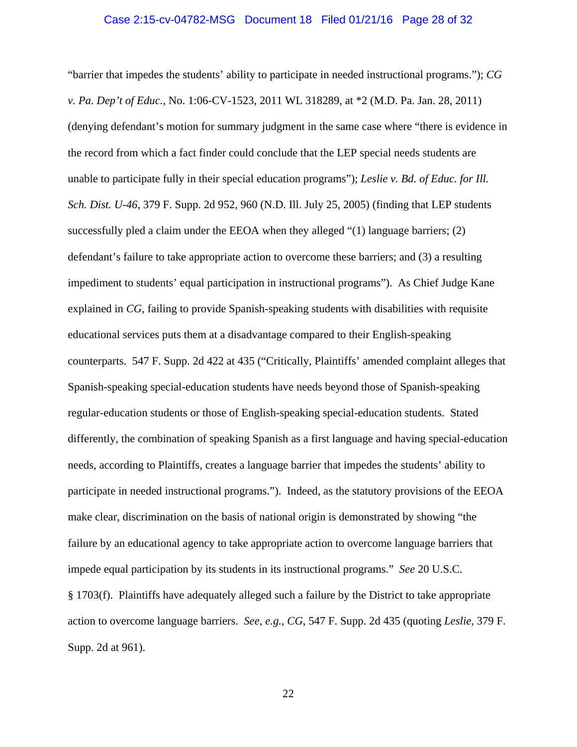#### Case 2:15-cv-04782-MSG Document 18 Filed 01/21/16 Page 28 of 32

"barrier that impedes the students' ability to participate in needed instructional programs."); *CG v. Pa. Dep't of Educ.*, No. 1:06-CV-1523, 2011 WL 318289, at \*2 (M.D. Pa. Jan. 28, 2011) (denying defendant's motion for summary judgment in the same case where "there is evidence in the record from which a fact finder could conclude that the LEP special needs students are unable to participate fully in their special education programs"); *Leslie v. Bd. of Educ. for Ill. Sch. Dist. U-46*, 379 F. Supp. 2d 952, 960 (N.D. Ill. July 25, 2005) (finding that LEP students successfully pled a claim under the EEOA when they alleged "(1) language barriers; (2) defendant's failure to take appropriate action to overcome these barriers; and (3) a resulting impediment to students' equal participation in instructional programs"). As Chief Judge Kane explained in *CG*, failing to provide Spanish-speaking students with disabilities with requisite educational services puts them at a disadvantage compared to their English-speaking counterparts. 547 F. Supp. 2d 422 at 435 ("Critically, Plaintiffs' amended complaint alleges that Spanish-speaking special-education students have needs beyond those of Spanish-speaking regular-education students or those of English-speaking special-education students. Stated differently, the combination of speaking Spanish as a first language and having special-education needs, according to Plaintiffs, creates a language barrier that impedes the students' ability to participate in needed instructional programs."). Indeed, as the statutory provisions of the EEOA make clear, discrimination on the basis of national origin is demonstrated by showing "the failure by an educational agency to take appropriate action to overcome language barriers that impede equal participation by its students in its instructional programs." *See* 20 U.S.C. § 1703(f). Plaintiffs have adequately alleged such a failure by the District to take appropriate action to overcome language barriers. *See, e.g.*, *CG*, 547 F. Supp. 2d 435 (quoting *Leslie*, 379 F. Supp. 2d at 961).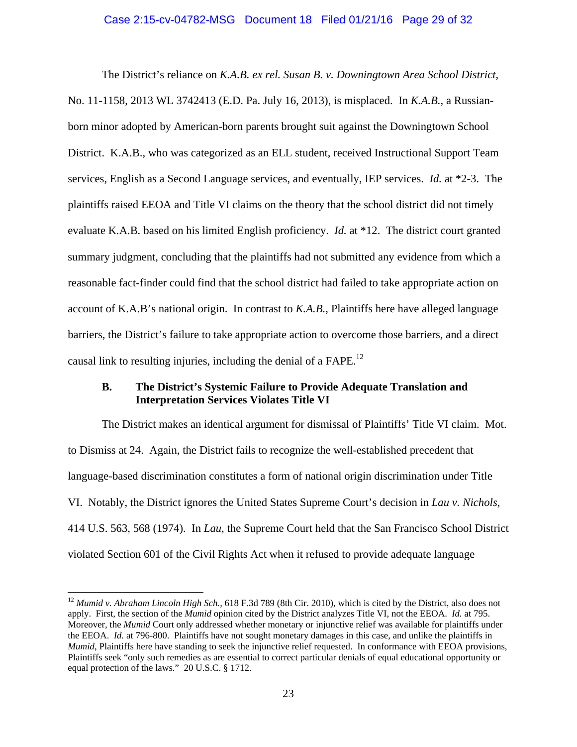#### Case 2:15-cv-04782-MSG Document 18 Filed 01/21/16 Page 29 of 32

The District's reliance on *K.A.B. ex rel. Susan B. v. Downingtown Area School District*, No. 11-1158, 2013 WL 3742413 (E.D. Pa. July 16, 2013), is misplaced. In *K.A.B.*, a Russianborn minor adopted by American-born parents brought suit against the Downingtown School District. K.A.B., who was categorized as an ELL student, received Instructional Support Team services, English as a Second Language services, and eventually, IEP services. *Id.* at \*2-3. The plaintiffs raised EEOA and Title VI claims on the theory that the school district did not timely evaluate K*.*A*.*B*.* based on his limited English proficiency. *Id.* at \*12. The district court granted summary judgment, concluding that the plaintiffs had not submitted any evidence from which a reasonable fact-finder could find that the school district had failed to take appropriate action on account of K.A.B's national origin. In contrast to *K.A.B.*, Plaintiffs here have alleged language barriers, the District's failure to take appropriate action to overcome those barriers, and a direct causal link to resulting injuries, including the denial of a  $FAPE<sup>12</sup>$ 

## **B. The District's Systemic Failure to Provide Adequate Translation and Interpretation Services Violates Title VI**

The District makes an identical argument for dismissal of Plaintiffs' Title VI claim. Mot. to Dismiss at 24. Again, the District fails to recognize the well-established precedent that language-based discrimination constitutes a form of national origin discrimination under Title VI. Notably, the District ignores the United States Supreme Court's decision in *Lau v. Nichols*, 414 U.S. 563, 568 (1974). In *Lau*, the Supreme Court held that the San Francisco School District violated Section 601 of the Civil Rights Act when it refused to provide adequate language

<u>.</u>

<sup>&</sup>lt;sup>12</sup> Mumid v. Abraham Lincoln High Sch., 618 F.3d 789 (8th Cir. 2010), which is cited by the District, also does not apply. First, the section of the *Mumid* opinion cited by the District analyzes Title VI, not the EEOA. *Id.* at 795. Moreover, the *Mumid* Court only addressed whether monetary or injunctive relief was available for plaintiffs under the EEOA. *Id.* at 796-800. Plaintiffs have not sought monetary damages in this case, and unlike the plaintiffs in *Mumid*, Plaintiffs here have standing to seek the injunctive relief requested. In conformance with EEOA provisions, Plaintiffs seek "only such remedies as are essential to correct particular denials of equal educational opportunity or equal protection of the laws." 20 U.S.C. § 1712.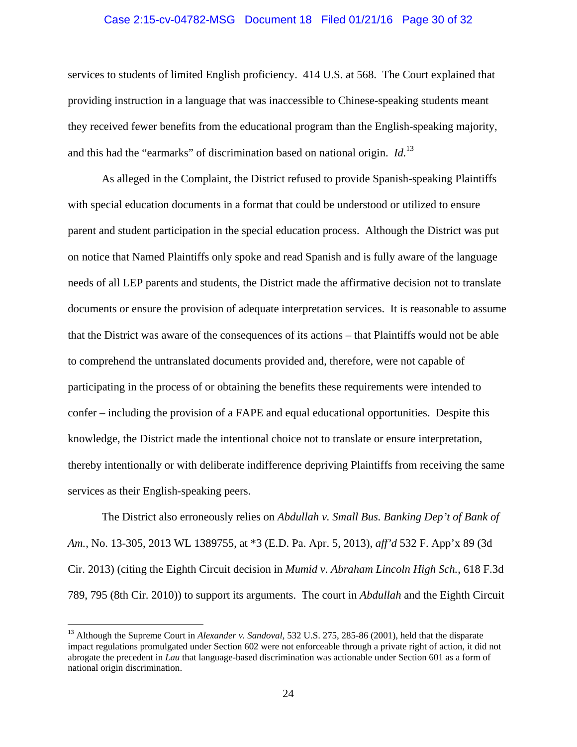#### Case 2:15-cv-04782-MSG Document 18 Filed 01/21/16 Page 30 of 32

services to students of limited English proficiency. 414 U.S. at 568. The Court explained that providing instruction in a language that was inaccessible to Chinese-speaking students meant they received fewer benefits from the educational program than the English-speaking majority, and this had the "earmarks" of discrimination based on national origin. *Id.*13

As alleged in the Complaint, the District refused to provide Spanish-speaking Plaintiffs with special education documents in a format that could be understood or utilized to ensure parent and student participation in the special education process. Although the District was put on notice that Named Plaintiffs only spoke and read Spanish and is fully aware of the language needs of all LEP parents and students, the District made the affirmative decision not to translate documents or ensure the provision of adequate interpretation services. It is reasonable to assume that the District was aware of the consequences of its actions – that Plaintiffs would not be able to comprehend the untranslated documents provided and, therefore, were not capable of participating in the process of or obtaining the benefits these requirements were intended to confer – including the provision of a FAPE and equal educational opportunities. Despite this knowledge, the District made the intentional choice not to translate or ensure interpretation, thereby intentionally or with deliberate indifference depriving Plaintiffs from receiving the same services as their English-speaking peers.

The District also erroneously relies on *Abdullah v. Small Bus. Banking Dep't of Bank of Am.*, No. 13-305, 2013 WL 1389755, at \*3 (E.D. Pa. Apr. 5, 2013), *aff'd* 532 F. App'x 89 (3d Cir. 2013) (citing the Eighth Circuit decision in *Mumid v. Abraham Lincoln High Sch.*, 618 F.3d 789, 795 (8th Cir. 2010)) to support its arguments. The court in *Abdullah* and the Eighth Circuit

 $\overline{a}$ 

<sup>&</sup>lt;sup>13</sup> Although the Supreme Court in *Alexander v. Sandoval*, 532 U.S. 275, 285-86 (2001), held that the disparate impact regulations promulgated under Section 602 were not enforceable through a private right of action, it did not abrogate the precedent in *Lau* that language-based discrimination was actionable under Section 601 as a form of national origin discrimination.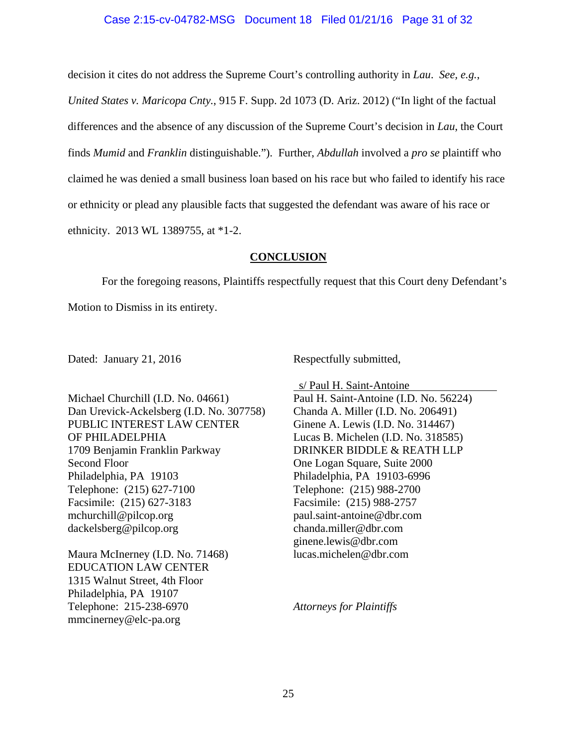#### Case 2:15-cv-04782-MSG Document 18 Filed 01/21/16 Page 31 of 32

decision it cites do not address the Supreme Court's controlling authority in *Lau*. *See, e.g.*,

*United States v. Maricopa Cnty.*, 915 F. Supp. 2d 1073 (D. Ariz. 2012) ("In light of the factual differences and the absence of any discussion of the Supreme Court's decision in *Lau*, the Court finds *Mumid* and *Franklin* distinguishable."). Further, *Abdullah* involved a *pro se* plaintiff who claimed he was denied a small business loan based on his race but who failed to identify his race or ethnicity or plead any plausible facts that suggested the defendant was aware of his race or ethnicity. 2013 WL 1389755, at \*1-2.

#### **CONCLUSION**

For the foregoing reasons, Plaintiffs respectfully request that this Court deny Defendant's Motion to Dismiss in its entirety.

Dated: January 21, 2016 Respectfully submitted,

Michael Churchill (I.D. No. 04661) Dan Urevick-Ackelsberg (I.D. No. 307758) PUBLIC INTEREST LAW CENTER OF PHILADELPHIA 1709 Benjamin Franklin Parkway Second Floor Philadelphia, PA 19103 Telephone: (215) 627-7100 Facsimile: (215) 627-3183 mchurchill@pilcop.org dackelsberg@pilcop.org

Maura McInerney (I.D. No. 71468) EDUCATION LAW CENTER 1315 Walnut Street, 4th Floor Philadelphia, PA 19107 Telephone: 215-238-6970 mmcinerney@elc-pa.org

 s/ Paul H. Saint-Antoine Paul H. Saint-Antoine (I.D. No. 56224) Chanda A. Miller (I.D. No. 206491) Ginene A. Lewis (I.D. No. 314467) Lucas B. Michelen (I.D. No. 318585) DRINKER BIDDLE & REATH LLP One Logan Square, Suite 2000 Philadelphia, PA 19103-6996 Telephone: (215) 988-2700 Facsimile: (215) 988-2757 paul.saint-antoine@dbr.com chanda.miller@dbr.com ginene.lewis@dbr.com lucas.michelen@dbr.com

*Attorneys for Plaintiffs*